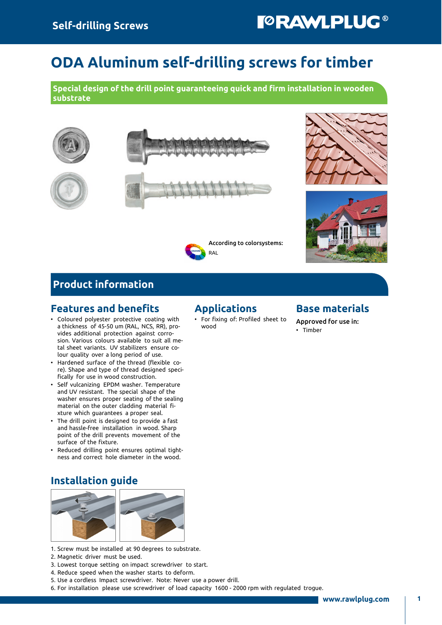# ODA Aluminum self-drilling screws for timber

Special design of the drill point guaranteeing quick and firm installation in wooden substrate







## Product information

#### Features and benefits

- Coloured polyester protective coating with a thickness of 45-50 um (RAL, NCS, RR), provides additional protection against corrosion. Various colours available to suit all metal sheet variants. UV stabilizers ensure colour quality over a long period of use.
- Hardened surface of the thread (flexible core). Shape and type of thread designed specifically for use in wood construction.
- Self vulcanizing EPDM washer. Temperature and UV resistant. The special shape of the washer ensures proper seating of the sealing material on the outer cladding material fixture which guarantees a proper seal.
- The drill point is designed to provide a fast and hassle-free installation in wood. Sharp point of the drill prevents movement of the surface of the fixture.
- Reduced drilling point ensures optimal tightness and correct hole diameter in the wood.

## Installation guide



- 1. Screw must be installed at 90 degrees to substrate.
- 2. Magnetic driver must be used.
- 3. Lowest torque setting on impact screwdriver to start.
- 4. Reduce speed when the washer starts to deform.
- 5. Use a cordless Impact screwdriver. Note: Never use a power drill.
- 6. For installation please use screwdriver of load capacity 1600 2000 rpm with regulated trogue.

### Applications

**RAI** 

• For fixing of: Profiled sheet to wood

According to colorsystems:

#### Base materials

Approved for use in: • Timber

www.rawlplug.com | 1